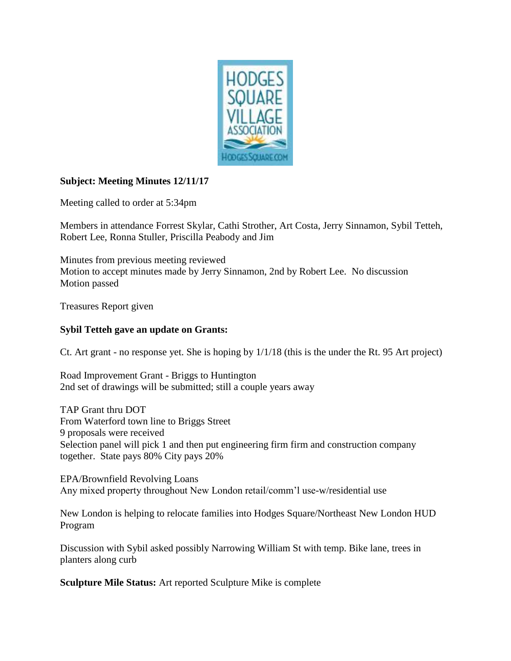

## **Subject: Meeting Minutes 12/11/17**

Meeting called to order at 5:34pm

Members in attendance Forrest Skylar, Cathi Strother, Art Costa, Jerry Sinnamon, Sybil Tetteh, Robert Lee, Ronna Stuller, Priscilla Peabody and Jim

Minutes from previous meeting reviewed Motion to accept minutes made by Jerry Sinnamon, 2nd by Robert Lee. No discussion Motion passed

Treasures Report given

## **Sybil Tetteh gave an update on Grants:**

Ct. Art grant - no response yet. She is hoping by 1/1/18 (this is the under the Rt. 95 Art project)

Road Improvement Grant - Briggs to Huntington 2nd set of drawings will be submitted; still a couple years away

TAP Grant thru DOT From Waterford town line to Briggs Street 9 proposals were received Selection panel will pick 1 and then put engineering firm firm and construction company together. State pays 80% City pays 20%

EPA/Brownfield Revolving Loans Any mixed property throughout New London retail/comm'l use-w/residential use

New London is helping to relocate families into Hodges Square/Northeast New London HUD Program

Discussion with Sybil asked possibly Narrowing William St with temp. Bike lane, trees in planters along curb

**Sculpture Mile Status:** Art reported Sculpture Mike is complete